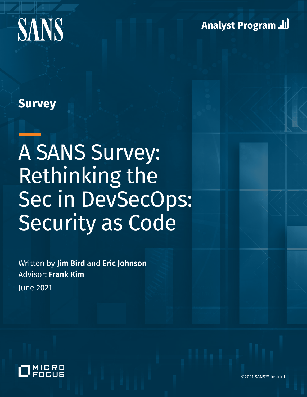

**Analyst Program ...** 

# **Survey**

# A SANS Survey: Rethinking the Sec in DevSecOps: Security as Code

Written by **Jim Bird** and **Eric Johnson** Advisor: **Frank Kim**

June 2021



©2021 SANS™ Institute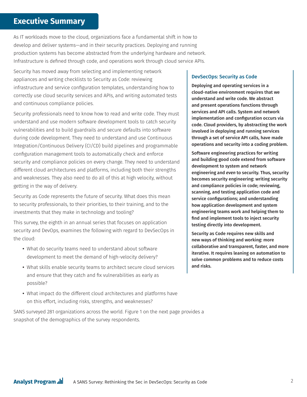## **Executive Summary**

As IT workloads move to the cloud, organizations face a fundamental shift in how to develop and deliver systems—and in their security practices. Deploying and running production systems has become abstracted from the underlying hardware and network. Infrastructure is defined through code, and operations work through cloud service APIs.

Security has moved away from selecting and implementing network appliances and writing checklists to Security as Code: reviewing infrastructure and service configuration templates, understanding how to correctly use cloud security services and APIs, and writing automated tests and continuous compliance policies.

Security professionals need to know how to read and write code. They must understand and use modern software development tools to catch security vulnerabilities and to build guardrails and secure defaults into software during code development. They need to understand and use Continuous Integration/Continuous Delivery (CI/CD) build pipelines and programmable configuration management tools to automatically check and enforce security and compliance policies on every change. They need to understand different cloud architectures and platforms, including both their strengths and weaknesses. They also need to do all of this at high velocity, without getting in the way of delivery.

Security as Code represents the future of security. What does this mean to security professionals, to their priorities, to their training, and to the investments that they make in technology and tooling?

This survey, the eighth in an annual series that focuses on application security and DevOps, examines the following with regard to DevSecOps in the cloud:

- What do security teams need to understand about software development to meet the demand of high-velocity delivery?
- What skills enable security teams to architect secure cloud services and ensure that they catch and fix vulnerabilities as early as possible?
- What impact do the different cloud architectures and platforms have on this effort, including risks, strengths, and weaknesses?

SANS surveyed 281 organizations across the world. Figure 1 on the next page provides a snapshot of the demographics of the survey respondents.

#### DevSecOps: Security as Code

Deploying and operating services in a cloud-native environment requires that we understand and write code. We abstract and present operations functions through services and API calls. System and network implementation and configuration occurs via code. Cloud providers, by abstracting the work involved in deploying and running services through a set of service API calls, have made operations and security into a coding problem.

Software engineering practices for writing and building good code extend from software development to system and network engineering and *even* to security. Thus, security becomes security engineering: writing security and compliance policies in code; reviewing, scanning, and testing application code and service configurations; and understanding how application development and system engineering teams work and helping them to find and implement tools to inject security testing directly into development.

Security as Code requires new skills and new ways of thinking and working: more collaborative and transparent, faster, and more iterative. It requires leaning on automation to solve common problems and to reduce costs and risks.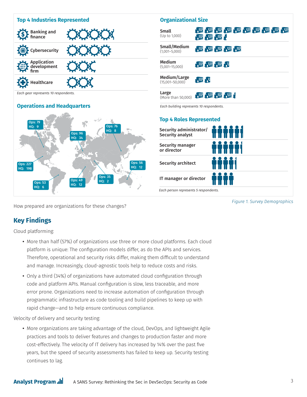

How prepared are organizations for these changes?

## **Key Findings**

Cloud platforming:

- More than half (57%) of organizations use three or more cloud platforms. Each cloud platform is unique: The configuration models differ, as do the APIs and services. Therefore, operational and security risks differ, making them difficult to understand and manage. Increasingly, cloud-agnostic tools help to reduce costs and risks.
- Only a third (34%) of organizations have automated cloud configuration through code and platform APIs. Manual configuration is slow, less traceable, and more error prone. Organizations need to increase automation of configuration through programmatic infrastructure as code tooling and build pipelines to keep up with rapid change—and to help ensure continuous compliance.

Velocity of delivery and security testing:

**•** More organizations are taking advantage of the cloud, DevOps, and lightweight Agile practices and tools to deliver features and changes to production faster and more cost-effectively. The velocity of IT delivery has increased by 14% over the past five years, but the speed of security assessments has failed to keep up. Security testing continues to lag.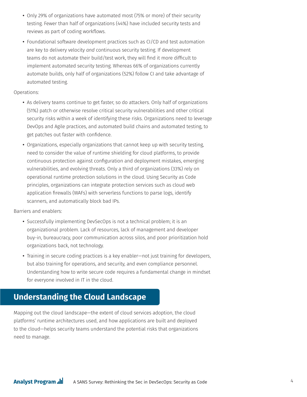- Only 29% of organizations have automated most (75% or more) of their security testing. Fewer than half of organizations (44%) have included security tests and reviews as part of coding workflows.
- Foundational software development practices such as CI/CD and test automation are key to delivery velocity *and* continuous security testing. If development teams do not automate their build/test work, they will find it more difficult to implement automated security testing. Whereas 66% of organizations currently automate builds, only half of organizations (52%) follow CI and take advantage of automated testing.

#### Operations:

- As delivery teams continue to get faster, so do attackers. Only half of organizations (51%) patch or otherwise resolve critical security vulnerabilities and other critical security risks within a week of identifying these risks. Organizations need to leverage DevOps and Agile practices, and automated build chains and automated testing, to get patches out faster with confidence.
- Organizations, especially organizations that cannot keep up with security testing, need to consider the value of runtime shielding for cloud platforms, to provide continuous protection against configuration and deployment mistakes, emerging vulnerabilities, and evolving threats. Only a third of organizations (33%) rely on operational runtime protection solutions in the cloud. Using Security as Code principles, organizations can integrate protection services such as cloud web application firewalls (WAFs) with serverless functions to parse logs, identify scanners, and automatically block bad IPs.

Barriers and enablers:

- Successfully implementing DevSecOps is not a technical problem; it is an organizational problem. Lack of resources, lack of management and developer buy-in, bureaucracy, poor communication across silos, and poor prioritization hold organizations back, not technology.
- Training in secure coding practices is a key enabler—not just training for developers, but also training for operations, and security, and even compliance personnel. Understanding how to write secure code requires a fundamental change in mindset for everyone involved in IT in the cloud.

# **Understanding the Cloud Landscape**

Mapping out the cloud landscape—the extent of cloud services adoption, the cloud platforms' runtime architectures used, and how applications are built and deployed to the cloud—helps security teams understand the potential risks that organizations need to manage.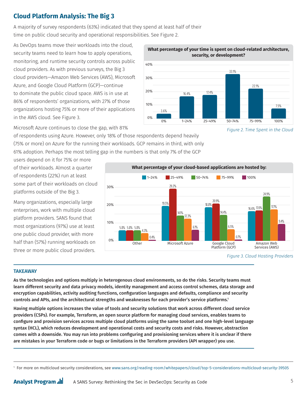# **Cloud Platform Analysis: The Big 3**

A majority of survey respondents (63%) indicated that they spend at least half of their

time on public cloud security and operational responsibilities. See Figure 2.

As DevOps teams move their workloads into the cloud, security teams need to learn how to apply operations, monitoring, and runtime security controls across public cloud providers. As with previous surveys, the Big 3 cloud providers—Amazon Web Services (AWS), Microsoft Azure, and Google Cloud Platform (GCP)—continue to dominate the public cloud space. AWS is in use at 86% of respondents' organizations, with 27% of those organizations hosting 75% or more of their applications in the AWS cloud. See Figure 3.



**What percentage of your time is spent on cloud-related architecture,** 

Microsoft Azure continues to close the gap, with 81%

of respondents using Azure. However, only 18% of those respondents depend heavily (75% or more) on Azure for the running their workloads. GCP remains in third, with only 61% adoption. Perhaps the most telling gap in the numbers is that only 7% of the GCP

users depend on it for 75% or more of their workloads. Almost a quarter of respondents (22%) run at least some part of their workloads on cloud platforms outside of the Big 3.

Many organizations, especially large enterprises, work with multiple cloud platform providers. SANS found that most organizations (97%) use at least one public cloud provider, with more half than (57%) running workloads on three or more public cloud providers.



*Figure 2. Time Spent in the Cloud*

#### **TAKEAWAY**

As the technologies and options multiply in heterogenous cloud environments, so do the risks. Security teams must learn different security and data privacy models, identity management and access control schemes, data storage and encryption capabilities, activity auditing functions, configuration languages and defaults, compliance and security controls and APIs, and the architectural strengths and weaknesses for each provider's service platforms.1

Having multiple options increases the value of tools and security solutions that work across different cloud service providers (CSPs). For example, Terraform, an open source platform for managing cloud services, enables teams to configure and provision services across multiple cloud platforms using the same toolset and one high-level language syntax (HCL), which reduces development and operational costs and security costs and risks. However, abstraction comes with a downside. You may run into problems configuring and provisioning services where it is unclear if there are mistakes in your Terraform code or bugs or limitations in the Terraform providers (API wrapper) you use.

A SANS Survey: Rethinking the Sec in DevSecOps: Security as Code 5 **Analyst Program ...** 

*Figure 3. Cloud Hosting Providers*

<sup>1</sup> For more on multicloud security considerations, see [www.sans.org/reading-room/whitepapers/cloud/top-5-considerations-multicloud-security-39505](https://www.sans.org/reading-room/whitepapers/cloud/top-5-considerations-multicloud-security-39505)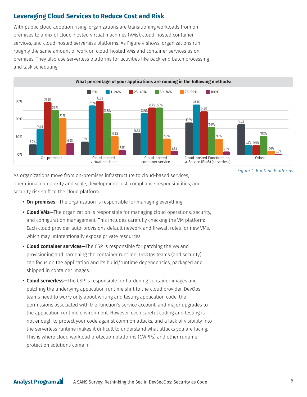## **Leveraging Cloud Services to Reduce Cost and Risk**

With public cloud adoption rising, organizations are transitioning workloads from onpremises to a mix of cloud-hosted virtual machines (VMs), cloud-hosted container services, and cloud-hosted serverless platforms. As Figure 4 shows, organizations run roughly the same amount of work on cloud-hosted VMs and container services as onpremises. They also use serverless platforms for activities like back-end batch processing and task scheduling.



As organizations move from on-premises infrastructure to cloud-based services, operational complexity and scale, development cost, compliance responsibilities, and security risk shift to the cloud platform:

- **On-premises—**The organization is responsible for managing everything.
- **Cloud VMs—**The organization is responsible for managing cloud operations, security, and configuration management. This includes carefully checking the VM platform: Each cloud provider auto-provisions default network and firewall rules for new VMs, which may unintentionally expose private resources.
- **Cloud container services—**The CSP is responsible for patching the VM and provisioning and hardening the container runtime. DevOps teams (and security) can focus on the application and its build/runtime dependencies, packaged and shipped in container images.
- **Cloud serverless—**The CSP is responsible for hardening container images and patching the underlying application runtime shift to the cloud provider. DevOps teams need to worry only about writing and testing application code, the permissions associated with the function's service account, and major upgrades to the application runtime environment. However, even careful coding and testing is not enough to protect your code against common attacks, and a lack of visibility into the serverless runtime makes it difficult to understand what attacks you are facing. This is where cloud workload protection platforms (CWPPs) and other runtime protection solutions come in.

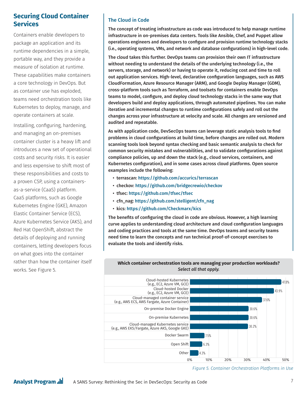#### **Securing Cloud Container Services**

Containers enable developers to package an application and its runtime dependencies in a simple, portable way, and they provide a measure of isolation at runtime. These capabilities make containers a core technology in DevOps. But as container use has exploded, teams need orchestration tools like Kubernetes to deploy, manage, and operate containers at scale.

Installing, configuring, hardening, and managing an on-premises container cluster is a heavy lift and introduces a new set of operational costs and security risks. It is easier and less expensive to shift most of these responsibilities and costs to a proven CSP, using a containersas-a-service (CaaS) platform. CaaS platforms, such as Google Kubernetes Engine (GKE), Amazon Elastic Container Service (ECS), Azure Kubernetes Service (AKS), and Red Hat OpenShift, abstract the details of deploying and running containers, letting developers focus on what goes into the container rather than how the container itself works. See Figure 5.

#### The Cloud in Code

The concept of treating infrastructure as code was introduced to help manage runtime infrastructure in on-premises data centers. Tools like Ansible, Chef, and Puppet allow operations engineers and developers to configure and provision runtime technology stacks (i.e., operating systems, VMs, and network and database configurations) in high-level code.

The cloud takes this further. DevOps teams can provision their own IT infrastructure without needing to understand the details of the underlying technology (i.e., the servers, storage, and network) or having to operate it, reducing cost and time to roll out application services. High-level, declarative configuration languages, such as AWS CloudFormation, Azure Resource Manager (ARM), and Google Deploy Manager (GDM), cross-platform tools such as Terraform, and toolsets for containers enable DevOps teams to model, configure, and deploy cloud technology stacks in the same way that developers build and deploy applications, through automated pipelines. You can make iterative and incremental changes to runtime configurations safely and roll out the changes across your infrastructure at velocity and scale. All changes are versioned and audited and repeatable.

As with application code, DevSecOps teams can leverage static analysis tools to find problems in cloud configurations at build time, before changes are rolled out. Modern scanning tools look beyond syntax checking and basic semantic analysis to check for common security mistakes and vulnerabilities, and to validate configurations against compliance policies, up and down the stack (e.g., cloud services, containers, and Kubernetes configuration), and in some cases across cloud platforms. Open source examples include the following:

- terrascan: <https://github.com/accurics/terrascan>
- checkov: <https://github.com/bridgecrewio/checkov>
- tfsec: <https://github.com/tfsec/tfsec>
- cfn\_nag: [https://github.com/stelligent/cfn\\_nag](https://github.com/stelligent/cfn_nag)
- kics: <https://github.com/Checkmarx/kics>

The benefits of configuring the cloud in code are obvious. However, a high learning curve applies to understanding cloud architecture and cloud configuration languages and coding practices and tools at the same time. DevOps teams and security teams need time to learn the concepts and run technical proof-of-concept exercises to evaluate the tools and identify risks.



**Which container orchestration tools are managing your production workloads?**  *Select all that apply.*

*Figure 5. Container Orchestration Platforms in Use*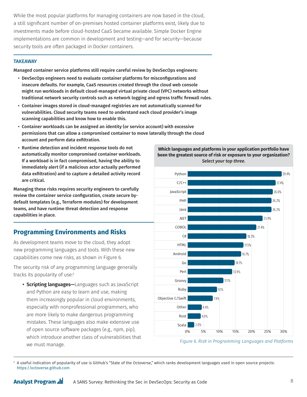While the most popular platforms for managing containers are now based in the cloud, a still significant number of on-premises hosted container platforms exist, likely due to investments made before cloud-hosted CaaS became available. Simple Docker Engine implementations are common in development and testing—and for security—because security tools are often packaged in Docker containers.

#### **TAKEAWAY**

Managed container service platforms still require careful review by DevSecOps engineers:

- DevSecOps engineers need to evaluate container platforms for misconfigurations and insecure defaults. For example, CaaS resources created through the cloud web console might run workloads in default cloud-managed virtual private cloud (VPC) networks without traditional network security controls such as network logging and egress traffic firewall rules.
- Container images stored in cloud-managed registries are not automatically scanned for vulnerabilities. Cloud security teams need to understand each cloud provider's image scanning capabilities and know how to enable this.
- Container workloads can be assigned an identity (or service account) with excessive permissions that can allow a compromised container to move laterally through the cloud account and perform data exfiltration.
- Runtime detection and incident response tools do not automatically monitor compromised container workloads. If a workload is in fact compromised, having the ability to immediately alert (if a malicious actor actually performed data exfiltration) and to capture a detailed activity record are critical.

Managing these risks requires security engineers to carefully review the container service configuration, create secure bydefault templates (e.g., Terraform modules) for development teams, and have runtime threat detection and response capabilities in place.

## **Programming Environments and Risks**

As development teams move to the cloud, they adopt new programming languages and tools. With these new capabilities come new risks, as shown in Figure 6.

The security risk of any programming language generally tracks its popularity of use:<sup>2</sup>

**• Scripting languages—**Languages such as JavaScript and Python are easy to learn and use, making them increasingly popular in cloud environments, especially with nonprofessional programmers, who are more likely to make dangerous programming mistakes. These languages also make extensive use of open source software packages (e.g., npm, pip), which introduce another class of vulnerabilities that we must manage.





*Figure 6. Risk in Programming Languages and Platforms*

<sup>2</sup> A useful indication of popularity of use is GitHub's "State of the Octoverse," which ranks development languages used in open source projects: <https://octoverse.github.com>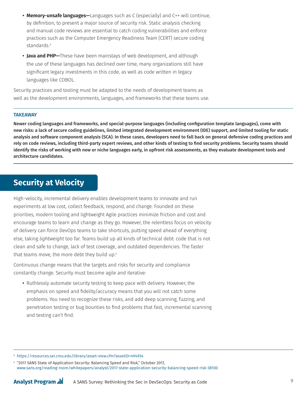- **Memory-unsafe languages—**Languages such as C (especially) and C++ will continue, by definition, to present a major source of security risk. Static analysis checking and manual code reviews are essential to catch coding vulnerabilities and enforce practices such as the Computer Emergency Readiness Team (CERT) secure coding standards.3
- **Java and PHP—**These have been mainstays of web development, and although the use of these languages has declined over time, many organizations still have significant legacy investments in this code, as well as code written in legacy languages like COBOL.

Security practices and tooling must be adapted to the needs of development teams as well as the development environments, languages, and frameworks that these teams use.

#### **TAKEAWAY**

Newer coding languages and frameworks, and special-purpose languages (including configuration template languages), come with new risks: a lack of secure coding guidelines, limited integrated development environment (IDE) support, and limited tooling for static analysis and software component analysis (SCA). In these cases, developers need to fall back on general defensive coding practices and rely on code reviews, including third-party expert reviews, and other kinds of testing to find security problems. Security teams should identify the risks of working with new or niche languages early, in upfront risk assessments, as they evaluate development tools and architecture candidates.

# **Security at Velocity**

High-velocity, incremental delivery enables development teams to innovate and run experiments at low cost, collect feedback, respond, and change. Founded on these priorities, modern tooling and lightweight Agile practices minimize friction and cost and encourage teams to learn and change as they go. However, the relentless focus on velocity of delivery can force DevOps teams to take shortcuts, putting speed ahead of everything else, taking *lightweight* too far. Teams build up all kinds of technical debt: code that is not clean and safe to change, lack of test coverage, and outdated dependencies. The faster that teams move, the more debt they build up.<sup>4</sup>

Continuous change means that the targets and risks for security and compliance constantly change. Security must become agile and iterative:

**•** Ruthlessly automate security testing to keep pace with delivery. However, the emphasis on speed and fidelity/accuracy means that you will not catch some problems. You need to recognize these risks, and add deep scanning, fuzzing, and penetration testing or bug bounties to find problems that fast, incremental scanning and testing can't find.

<sup>3</sup> <https://resources.sei.cmu.edu/library/asset-view.cfm?assetID=494934>

<sup>4</sup> "2017 SANS State of Application Security: Balancing Speed and Risk," October 2017, [www.sans.org/reading-room/whitepapers/analyst/2017-state-application-security-balancing-speed-risk-38100](https://www.sans.org/reading-room/whitepapers/analyst/2017-state-application-security-balancing-speed-risk-38100)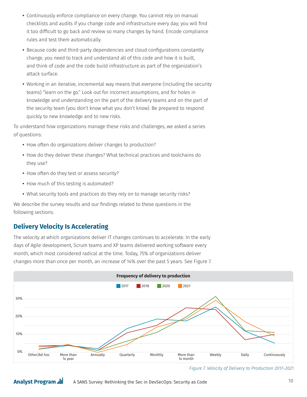- Continuously enforce compliance on every change. You cannot rely on manual checklists and audits if you change code and infrastructure every day; you will find it too difficult to go back and review so many changes by hand. Encode compliance rules and test them automatically.
- Because code and third-party dependencies and cloud configurations constantly change, you need to track and understand all of this code and how it is built, and think of code and the code build infrastructure as part of the organization's attack surface.
- Working in an iterative, incremental way means that everyone (including the security teams) "learn on the go." Look out for incorrect assumptions, and for holes in knowledge and understanding on the part of the delivery teams and on the part of the security team (you don't know what you don't know). Be prepared to respond quickly to new knowledge and to new risks.

To understand how organizations manage these risks and challenges, we asked a series of questions:

- How often do organizations deliver changes to production?
- How do they deliver these changes? What technical practices and toolchains do they use?
- How often do they test or assess security?
- How much of this testing is automated?
- What security tools and practices do they rely on to manage security risks?

We describe the survey results and our findings related to these questions in the following sections.

#### **Delivery Velocity Is Accelerating**

**Analyst Program ...** 

The velocity at which organizations deliver IT changes continues to accelerate. In the early days of Agile development, Scrum teams and XP teams delivered working software every month, which most considered radical at the time. Today, 75% of organizations deliver changes more than once per month, an increase of 14% over the past 5 years. See Figure 7.



*Figure 7. Velocity of Delivery to Production 2017–2021*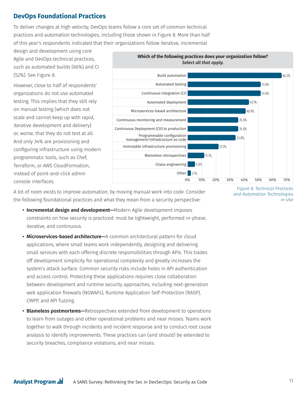## **DevOps Foundational Practices**

To deliver changes at high velocity, DevOps teams follow a core set of common technical practices and automation technologies, including those shown in Figure 8. More than half of this year's respondents indicated that their organizations follow iterative, incremental

design and development using core Agile and DevOps technical practices, such as automated builds (66%) and CI (52%). See Figure 8.

However, close to half of respondents' organizations do not use automated testing. This implies that they still rely on manual testing (which does not scale and cannot keep up with rapid, iterative development and delivery) or, worse, that they do not test at all. And only 34% are provisioning and configuring infrastructure using modern programmatic tools, such as Chef, Terraform, or AWS CloudFormation, instead of point-and-click admin console interfaces.



A lot of room exists to improve automation, by moving manual work into code. Consider the following foundational practices and what they mean from a security perspective:

- **Incremental design and development—**Modern Agile development imposes constraints on how security is practiced: must be lightweight, performed in-phase, iterative, and continuous.
- **Microservices-based architecture—**A common architectural pattern for cloud applications, where small teams work independently, designing and delivering small services with each offering discrete responsibilities through APIs. This trades off development simplicity for operational complexity and greatly increases the system's attack surface. Common security risks include holes in API authentication and access control. Protecting these applications requires close collaboration between development and runtime security approaches, including next-generation web application firewalls (NGWAFs), Runtime Application Self-Protection (RASP), CWPP, and API fuzzing.
- **Blameless postmortems—**Retrospectives extended from development to operations to learn from outages and other operational problems and near misses. Teams work together to walk through incidents and incident response and to conduct root cause analysis to identify improvements. These practices can (and should) be extended to security breaches, compliance violations, and near misses.

*Figure 8. Technical Practices and Automation Technologies in Use*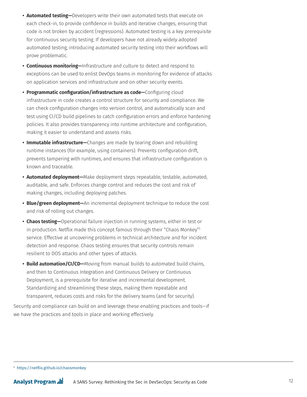- **Automated testing—**Developers write their own automated tests that execute on each check-in, to provide confidence in builds and iterative changes, ensuring that code is not broken by accident (regressions). Automated testing is a key prerequisite for continuous security testing. If developers have not already widely adopted automated testing, introducing automated security testing into their workflows will prove problematic.
- **Continuous monitoring—**Infrastructure and culture to detect and respond to exceptions can be used to enlist DevOps teams in monitoring for evidence of attacks on application services and infrastructure and on other security events.
- **Programmatic configuration/infrastructure as code—**Configuring cloud infrastructure in code creates a control structure for security and compliance. We can check configuration changes into version control, and automatically scan and test using CI/CD build pipelines to catch configuration errors and enforce hardening policies. It also provides transparency into runtime architecture and configuration, making it easier to understand and assess risks.
- **Immutable infrastructure—**Changes are made by tearing down and rebuilding runtime instances (for example, using containers). Prevents configuration drift, prevents tampering with runtimes, and ensures that infrastructure configuration is known and traceable.
- **Automated deployment—**Make deployment steps repeatable, testable, automated, auditable, and safe. Enforces change control and reduces the cost and risk of making changes, including deploying patches.
- **Blue/green deployment—**An incremental deployment technique to reduce the cost and risk of rolling out changes.
- **Chaos testing—**Operational failure injection in running systems, either in test or in production. Netflix made this concept famous through their "Chaos Monkey"5 service. Effective at uncovering problems in technical architecture and for incident detection and response. Chaos testing ensures that security controls remain resilient to DOS attacks and other types of attacks.
- **Build automation/CI/CD—**Moving from manual builds to automated build chains, and then to Continuous Integration and Continuous Delivery or Continuous Deployment, is a prerequisite for iterative and incremental development. Standardizing and streamlining these steps, making them repeatable and transparent, reduces costs and risks for the delivery teams (and for security).

Security and compliance can build on and leverage these enabling practices and tools—if we have the practices and tools in place and working effectively.

<sup>5</sup> <https://netflix.github.io/chaosmonkey>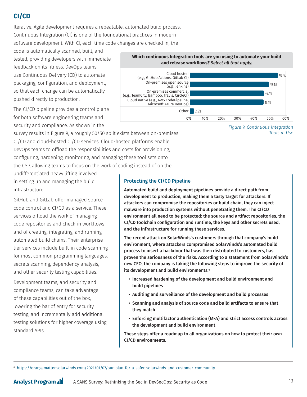## **CI/CD**

Iterative, Agile development requires a repeatable, automated build process. Continuous Integration (CI) is one of the foundational practices in modern software development. With CI, each time code changes are checked in, the

code is automatically scanned, built, and tested, providing developers with immediate feedback on its fitness. DevOps teams use Continuous Delivery (CD) to automate packaging, configuration, and deployment, so that each change can be automatically pushed directly to production.

The CI/CD pipeline provides a control plane for both software engineering teams and security and compliance. As shown in the

survey results in Figure 9, a roughly 50/50 split exists between on-premises CI/CD and cloud-hosted CI/CD services. Cloud-hosted platforms enable DevOps teams to offload the responsibilities and costs for provisioning, configuring, hardening, monitoring, and managing these tool sets onto the CSP, allowing teams to focus on the work of coding instead of on the

undifferentiated heavy lifting involved in setting up and managing the build infrastructure.

GitHub and GitLab offer managed source code control and CI/CD as a service. These services offload the work of managing code repositories and check-in workflows and of creating, integrating, and running automated build chains. Their enterprisetier services include built-in code scanning for most common programming languages, secrets scanning, dependency analysis, and other security testing capabilities.

Development teams, and security and compliance teams, can take advantage of these capabilities out of the box, lowering the bar of entry for security testing, and incrementally add additional testing solutions for higher coverage using standard APIs.





*Figure 9. Continuous Integration Tools in Use*

Protecting the CI/CD Pipeline

Automated build and deployment pipelines provide a direct path from development to production, making them a tasty target for attackers. If attackers can compromise the repositories or build chain, they can inject malware into production systems without penetrating them. The CI/CD environment all need to be protected: the source and artifact repositories, the CI/CD toolchain configuration and runtime, the keys and other secrets used, and the infrastructure for running these services.

The recent attack on SolarWinds's customers through that company's build environment, where attackers compromised SolarWinds's automated build process to insert a backdoor that was then distributed to customers, has proven the seriousness of the risks. According to a statement from SolarWinds's new CEO, the company is taking the following steps to improve the security of its development and build environments:<sup>6</sup>

- Increased hardening of the development and build environment and build pipelines
- Auditing and surveillance of the development and build processes
- Scanning and analysis of source code and build artifacts to ensure that they match
- Enforcing multifactor authentication (MFA) and strict access controls across the development and build environment

These steps offer a roadmap to all organizations on how to protect their own CI/CD environments.

6 <https://orangematter.solarwinds.com/2021/01/07/our-plan-for-a-safer-solarwinds-and-customer-community>

**Analyst Program ...** A SANS Survey: Rethinking the Sec in DevSecOps: Security as Code 13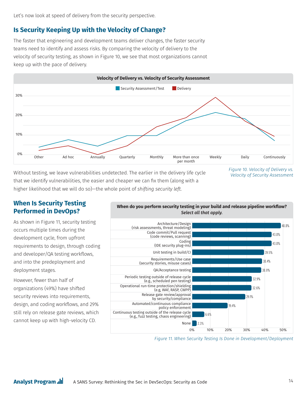Let's now look at speed of delivery from the security perspective.

## **Is Security Keeping Up with the Velocity of Change?**

The faster that engineering and development teams deliver changes, the faster security teams need to identify and assess risks. By comparing the velocity of delivery to the velocity of security testing, as shown in Figure 10, we see that most organizations cannot keep up with the pace of delivery.



Without testing, we leave vulnerabilities undetected. The earlier in the delivery life cycle that we identify vulnerabilities, the easier and cheaper we can fix them (along with a higher likelihood that we will do so)—the whole point of *shifting security left*.

*Figure 10. Velocity of Delivery vs. Velocity of Security Assessment*

## **When Is Security Testing Performed in DevOps?**

As shown in Figure 11, security testing occurs multiple times during the development cycle, from upfront requirements to design, through coding and developer/QA testing workflows, and into the predeployment and deployment stages.

However, fewer than half of organizations (49%) have shifted security reviews into requirements, design, and coding workflows, and 29% still rely on release gate reviews, which cannot keep up with high-velocity CD.



**When do you perform security testing in your build and release pipeline workflow?** 

*Figure 11. When Security Testing Is Done in Development/Deployment*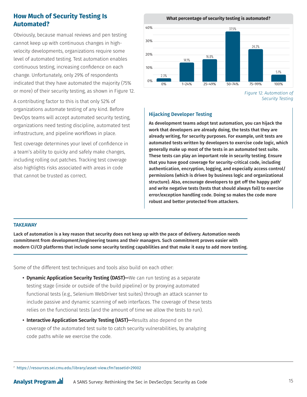## **How Much of Security Testing Is Automated?**

Obviously, because manual reviews and pen testing cannot keep up with continuous changes in highvelocity developments, organizations require some level of automated testing. Test automation enables continuous testing, increasing confidence on each change. Unfortunately, only 29% of respondents indicated that they have automated the majority (75% or more) of their security testing, as shown in Figure 12.

A contributing factor to this is that only 52% of organizations automate testing of any kind. Before DevOps teams will accept automated security testing, organizations need testing discipline, automated test infrastructure, and pipeline workflows in place.

Test coverage determines your level of confidence in a team's ability to quicky and safely make changes, including rolling out patches. Tracking test coverage also highlights risks associated with areas in code that cannot be trusted as correct.

**What percentage of security testing is automated?**



*Figure 12. Automation of Security Testing*

#### Hijacking Developer Testing

As development teams adopt test automation, you can hijack the work that developers are already doing, the tests that they are already writing, for security purposes. For example, unit tests are automated tests written by developers to exercise code logic, which generally make up most of the tests in an automated test suite. These tests can play an important role in security testing. Ensure that you have good coverage for security-critical code, including authentication, encryption, logging, and especially access control/ permissions (which is driven by business logic and organizational structure). Also, encourage developers to get off the happy path<sup>7</sup> and write negative tests (tests that should always fail) to exercise error/exception handling code. Doing so makes the code more robust and better protected from attackers.

#### **TAKEAWAY**

Lack of automation is a key reason that security does not keep up with the pace of delivery. Automation needs commitment from development/engineering teams and their managers. Such commitment proves easier with modern CI/CD platforms that include some security testing capabilities and that make it easy to add more testing.

Some of the different test techniques and tools also build on each other:

- **Dynamic Application Security Testing (DAST)**—We can run testing as a separate testing stage (inside or outside of the build pipeline) or by proxying automated functional tests (e.g., Selenium WebDriver test suites) through an attack scanner to include passive and dynamic scanning of web interfaces. The coverage of these tests relies on the functional tests (and the amount of time we allow the tests to run).
- **Interactive Application Security Testing (IAST)—Results also depend on the** coverage of the automated test suite to catch security vulnerabilities, by analyzing code paths while we exercise the code.

<sup>7</sup> <https://resources.sei.cmu.edu/library/asset-view.cfm?assetid=29002>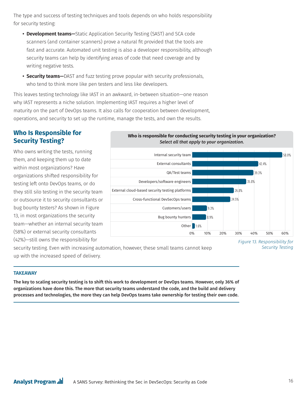The type and success of testing techniques and tools depends on who holds responsibility for security testing:

- **Development teams—**Static Application Security Testing (SAST) and SCA code scanners (and container scanners) prove a natural fit provided that the tools are fast and accurate. Automated unit testing is also a developer responsibility, although security teams can help by identifying areas of code that need coverage and by writing negative tests.
- **Security teams—**DAST and fuzz testing prove popular with security professionals, who tend to think more like pen testers and less like developers.

This leaves testing technology like IAST in an awkward, in-between situation—one reason why IAST represents a niche solution. Implementing IAST requires a higher level of maturity on the part of DevOps teams. It also calls for cooperation between development, operations, and security to set up the runtime, manage the tests, and own the results.

## **Who Is Responsible for Security Testing?**

Who owns writing the tests, running them, and keeping them up to date within most organizations? Have organizations shifted responsibility for testing left onto DevOps teams, or do they still silo testing in the security team or outsource it to security consultants or bug bounty testers? As shown in Figure 13, in most organizations the security team—whether an internal security team (58%) or external security consultants (42%)—still owns the responsibility for





security testing. Even with increasing automation, however, these small teams cannot keep up with the increased speed of delivery.



#### **TAKEAWAY**

The key to scaling security testing is to shift this work to development or DevOps teams. However, only 36% of organizations have done this. The more that security teams understand the code, and the build and delivery processes and technologies, the more they can help DevOps teams take ownership for testing their own code.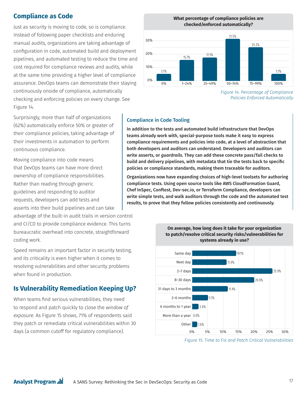## **Compliance as Code**

Just as security is moving to code, so is compliance. Instead of following paper checklists and enduring manual audits, organizations are taking advantage of configuration in code, automated build and deployment pipelines, and automated testing to reduce the time and cost required for compliance reviews and audits, while at the same time providing a higher level of compliance assurance. DevOps teams can demonstrate their staying continuously onside of compliance, automatically checking and enforcing policies on every change. See Figure 14.

**What percentage of compliance policies are checked/enforced automatically?** 31.5%



*Figure 14. Percentage of Compliance Policies Enforced Automatically*

Surprisingly, more than half of organizations (62%) automatically enforce 50% or greater of their compliance policies, taking advantage of their investments in automation to perform continuous compliance.

Moving compliance into code means that DevOps teams can have more direct ownership of compliance responsibilities. Rather than reading through generic guidelines and responding to auditor requests, developers can add tests and asserts into their build pipelines and can take

advantage of the built-in audit trails in version control and CI/CD to provide compliance evidence. This turns bureaucratic overhead into concrete, straightforward coding work.

Speed remains an important factor in security testing, and its criticality is even higher when it comes to resolving vulnerabilities and other security problems when found in production.

## **Is Vulnerability Remediation Keeping Up?**

When teams find serious vulnerabilities, they need to respond and patch quickly to close the *window of exposure*. As Figure 15 shows, 71% of respondents said they patch or remediate critical vulnerabilities within 30 days (a common cutoff for regulatory compliance).

#### Compliance in Code Tooling

In addition to the tests and automated build infrastructure that DevOps teams already work with, special-purpose tools make it easy to express compliance requirements and policies into code, at a level of abstraction that both developers and auditors can understand. Developers and auditors can write asserts, or *guardrails*. They can add these concrete pass/fail checks to build and delivery pipelines, with metadata that tie the tests back to specific policies or compliance standards, making them traceable for auditors.

Organizations now have expanding choices of high-level toolsets for authoring compliance tests. Using open source tools like AWS CloudFormation Guard, Chef InSpec, Conftest, Dev-sec.io, or Terraform Compliance, developers can write simple tests, and walk auditors through the code and the automated test results, to prove that they follow policies consistently and continuously.



**On average, how long does it take for your organization to patch/resolve critical security risks/vulnerabilities for** 

*Figure 15. Time to Fix and Patch Critical Vulnerabilities*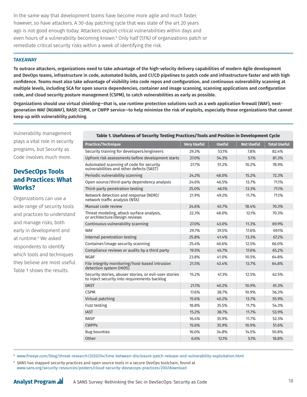In the same way that development teams have become more agile and much faster, however, so have attackers. A 30-day patching cycle that was state of the art 20 years ago is not good enough today. Attackers exploit critical vulnerabilities within days and even hours of a vulnerability becoming known.8 Only half (51%) of organizations patch or remediate critical security risks within a week of identifying the risk.

#### **TAKEAWAY**

To outrace attackers, organizations need to take advantage of the high-velocity delivery capabilities of modern Agile development and DevOps teams, infrastructure in code, automated builds, and CI/CD pipelines to patch code and infrastructure faster and with high confidence. Teams must also take advantage of visibility into code repos and configuration, and continuous vulnerability scanning at multiple levels, including SCA for open source dependencies, container and image scanning, scanning applications and configuration code, and cloud security posture management (CSPM), to catch vulnerabilities as early as possible.

Organizations should use virtual shielding—that is, use runtime protection solutions such as a web application firewall (WAF), nextgeneration WAF (NGWAF), RASP, CSPM, or CWPP service—to help minimize the risk of exploits, especially those organizations that cannot keep up with vulnerability patching.

Vulnerability management plays a vital role in security programs, but Security as Code involves much more.

## **DevSecOps Tools and Practices: What Works?**

Organizations can use a wide range of security tools and practices to understand and manage risks, both early in development and at runtime.9 We asked respondents to identify which tools and techniques they believe are most useful. Table 1 shows the results.

| Table 1. Usefulness of Security Testing Practices/Tools and Position in Development Cycle              |                    |               |                   |                     |
|--------------------------------------------------------------------------------------------------------|--------------------|---------------|-------------------|---------------------|
| <b>Practice/Technique</b>                                                                              | <b>Very Useful</b> | <b>Useful</b> | <b>Not Useful</b> | <b>Total Useful</b> |
| Security training for developers/engineers                                                             | 29.3%              | 53.1%         | 7.8%              | 82.4%               |
| Upfront risk assessments before development starts                                                     | 27.0%              | 54.3%         | 5.1%              | 81.3%               |
| Automated scanning of code for security<br>vulnerabilities and other defects (SAST)                    | 27.7%              | 51.2%         | 10.2%             | 78.9%               |
| Periodic vulnerability scanning                                                                        | 24.2%              | 48.0%         | 15.2%             | 72.3%               |
| Open source/third-party dependency analysis                                                            | 24.6%              | 46.5%         | 13.7%             | 71.1%               |
| Third-party penetration testing                                                                        | 25.0%              | 46.1%         | 13.3%             | 71.1%               |
| Network detection and response (NDR)/<br>network traffic analysis (NTA)                                | 21.9%              | 49.2%         | 11.7%             | 71.1%               |
| Manual code review                                                                                     | 24.6%              | 45.7%         | 18.4%             | 70.3%               |
| Threat modeling, attack surface analysis,<br>or architecture/design reviews                            | 22.3%              | 48.0%         | 12.1%             | 70.3%               |
| Continuous vulnerability scanning                                                                      | 27.0%              | 43.0%         | 11.3%             | 69.9%               |
| <b>WAF</b>                                                                                             | 29.7%              | 39.5%         | 17.6%             | 69.1%               |
| Internal penetration testing                                                                           | 25.8%              | 41.4%         | 13.3%             | 67.2%               |
| Container/image security scanning                                                                      | 25.4%              | 40.6%         | 12.5%             | 66.0%               |
| Compliance reviews or audits by a third party                                                          | 19.5%              | 45.7%         | 17.6%             | 65.2%               |
| <b>NGAF</b>                                                                                            | 23.8%              | 41.0%         | 10.5%             | 64.8%               |
| File integrity monitoring/host-based intrusion<br>detection system (HIDS)                              | 21.5%              | 43.4%         | 13.7%             | 64.8%               |
| Security stories, abuser stories, or evil-user stories<br>to inject security into requirements backlog | 15.2%              | 47.3%         | 12.5%             | 62.5%               |
| <b>DAST</b>                                                                                            | 21.1%              | 40.2%         | 10.9%             | 61.3%               |
| <b>CSPM</b>                                                                                            | 17.6%              | 38.7%         | 10.9%             | 56.3%               |
| Virtual patching                                                                                       | 15.6%              | 40.2%         | 13.7%             | 55.9%               |
| Fuzz testing                                                                                           | 18.8%              | 35.5%         | 11.7%             | 54.3%               |
| <b>IAST</b>                                                                                            | 15.2%              | 38.7%         | 11.7%             | 53.9%               |
| <b>RASP</b>                                                                                            | 16.4%              | 35.9%         | 11.7%             | 52.3%               |
| <b>CWPPs</b>                                                                                           | 15.6%              | 35.9%         | 10.9%             | 51.6%               |
| <b>Bug bounties</b>                                                                                    | 16.0%              | 34.8%         | 14.5%             | 50.8%               |
| Other                                                                                                  | 6.6%               | 12.1%         | 5.1%              | 18.8%               |

 $\rm ^8$  [www.fireeye.com/blog/threat-research/2020/04/time-between-disclosure-patch-release-and-vulnerability-exploitation.html](http://www.fireeye.com/blog/threat-research/2020/04/time-between-disclosure-patch-release-and-vulnerability-exploitation.html)

9 SANS has mapped security practices and open source tools in a secure DevOps toolchain, found at [www.sans.org/security-resources/posters/cloud-security-devsecops-practices/200/download](http://www.sans.org/security-resources/posters/cloud-security-devsecops-practices/200/download)

## **Analyst Program ...**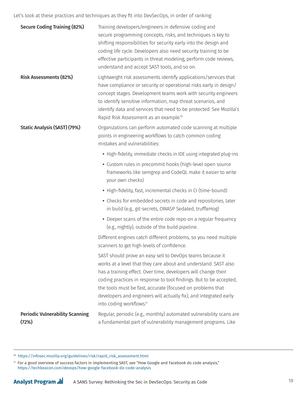Let's look at these practices and techniques as they fit into DevSecOps, in order of ranking:

| <b>Secure Coding Training (82%)</b>             | Training developers/engineers in defensive coding and<br>secure programming concepts, risks, and techniques is key to<br>shifting responsibilities for security early into the design and<br>coding life cycle. Developers also need security training to be<br>effective participants in threat modeling, perform code reviews,<br>understand and accept SAST tools, and so on.                                                                |
|-------------------------------------------------|-------------------------------------------------------------------------------------------------------------------------------------------------------------------------------------------------------------------------------------------------------------------------------------------------------------------------------------------------------------------------------------------------------------------------------------------------|
| <b>Risk Assessments (82%)</b>                   | Lightweight risk assessments identify applications/services that<br>have compliance or security or operational risks early in design/<br>concept stages. Development teams work with security engineers<br>to identify sensitive information, map threat scenarios, and<br>identify data and services that need to be protected. See Mozilla's<br>Rapid Risk Assessment as an example. <sup>10</sup>                                            |
| <b>Static Analysis (SAST) (79%)</b>             | Organizations can perform automated code scanning at multiple<br>points in engineering workflows to catch common coding<br>mistakes and vulnerabilities:                                                                                                                                                                                                                                                                                        |
|                                                 | • High-fidelity, immediate checks in IDE using integrated plug-ins                                                                                                                                                                                                                                                                                                                                                                              |
|                                                 | • Custom rules in precommit hooks (high-level open source<br>frameworks like semgrep and CodeQL make it easier to write<br>your own checks)                                                                                                                                                                                                                                                                                                     |
|                                                 | • High-fidelity, fast, incremental checks in CI (time-bound)                                                                                                                                                                                                                                                                                                                                                                                    |
|                                                 | • Checks for embedded secrets in code and repositories, later<br>in build (e.g., git-secrets, OWASP Sedated, truffleHog)                                                                                                                                                                                                                                                                                                                        |
|                                                 | • Deeper scans of the entire code repo on a regular frequency<br>(e.g., nightly), outside of the build pipeline.                                                                                                                                                                                                                                                                                                                                |
|                                                 | Different engines catch different problems, so you need multiple<br>scanners to get high levels of confidence.                                                                                                                                                                                                                                                                                                                                  |
|                                                 | SAST should prove an easy sell to DevOps teams because it<br>works at a level that they care about and understand. SAST also<br>has a training effect. Over time, developers will change their<br>coding practices in response to tool findings. But to be accepted,<br>the tools must be fast, accurate (focused on problems that<br>developers and engineers will actually fix), and integrated early<br>into coding workflows. <sup>11</sup> |
| <b>Periodic Vulnerability Scanning</b><br>(72%) | Regular, periodic (e.g., monthly) automated vulnerability scans are<br>a fundamental part of vulnerability management programs. Like                                                                                                                                                                                                                                                                                                            |

<sup>10</sup> [https://infosec.mozilla.org/guidelines/risk/rapid\\_risk\\_assessment.html](https://infosec.mozilla.org/guidelines/risk/rapid_risk_assessment.html)

 $^{\rm 11}$  For a good overview of success factors in implementing SAST, see "How Google and Facebook do code analysis," <https://techbeacon.com/devops/how-google-facebook-do-code-analysis>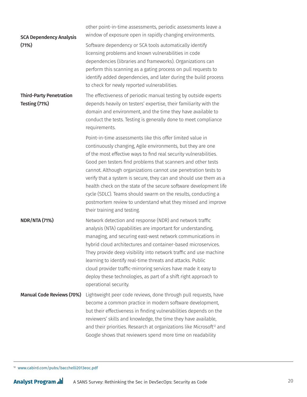| <b>SCA Dependency Analysis</b>                  | other point-in-time assessments, periodic assessments leave a<br>window of exposure open in rapidly changing environments.                                                                                                                                                                                                                                                                                                                                                                                                                                                                                                                 |
|-------------------------------------------------|--------------------------------------------------------------------------------------------------------------------------------------------------------------------------------------------------------------------------------------------------------------------------------------------------------------------------------------------------------------------------------------------------------------------------------------------------------------------------------------------------------------------------------------------------------------------------------------------------------------------------------------------|
| (71%)                                           | Software dependency or SCA tools automatically identify<br>licensing problems and known vulnerabilities in code<br>dependencies (libraries and frameworks). Organizations can<br>perform this scanning as a gating process on pull requests to<br>identify added dependencies, and later during the build process<br>to check for newly reported vulnerabilities.                                                                                                                                                                                                                                                                          |
| <b>Third-Party Penetration</b><br>Testing (71%) | The effectiveness of periodic manual testing by outside experts<br>depends heavily on testers' expertise, their familiarity with the<br>domain and environment, and the time they have available to<br>conduct the tests. Testing is generally done to meet compliance<br>requirements.                                                                                                                                                                                                                                                                                                                                                    |
|                                                 | Point-in-time assessments like this offer limited value in<br>continuously changing, Agile environments, but they are one<br>of the most effective ways to find real security vulnerabilities.<br>Good pen testers find problems that scanners and other tests<br>cannot. Although organizations cannot use penetration tests to<br>verify that a system is secure, they can and should use them as a<br>health check on the state of the secure software development life<br>cycle (SDLC). Teams should swarm on the results, conducting a<br>postmortem review to understand what they missed and improve<br>their training and testing. |
| <b>NDR/NTA (71%)</b>                            | Network detection and response (NDR) and network traffic<br>analysis (NTA) capabilities are important for understanding,<br>managing, and securing east-west network communications in<br>hybrid cloud architectures and container-based microservices.<br>They provide deep visibility into network traffic and use machine<br>learning to identify real-time threats and attacks. Public<br>cloud provider traffic-mirroring services have made it easy to<br>deploy these technologies, as part of a shift right approach to<br>operational security.                                                                                   |
| <b>Manual Code Reviews (70%)</b>                | Lightweight peer code reviews, done through pull requests, have<br>become a common practice in modern software development,<br>but their effectiveness in finding vulnerabilities depends on the<br>reviewers' skills and knowledge, the time they have available,<br>and their priorities. Research at organizations like Microsoft <sup>12</sup> and<br>Google shows that reviewers spend more time on readability                                                                                                                                                                                                                       |

12 [www.cabird.com/pubs/bacchelli2013eoc.pdf](http://www.cabird.com/pubs/bacchelli2013eoc.pdf)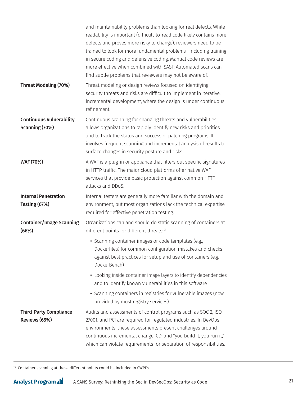|                                                   | and maintainability problems than looking for real defects. While<br>readability is important (difficult-to-read code likely contains more<br>defects and proves more risky to change), reviewers need to be<br>trained to look for more fundamental problems-including training<br>in secure coding and defensive coding. Manual code reviews are<br>more effective when combined with SAST: Automated scans can<br>find subtle problems that reviewers may not be aware of. |
|---------------------------------------------------|-------------------------------------------------------------------------------------------------------------------------------------------------------------------------------------------------------------------------------------------------------------------------------------------------------------------------------------------------------------------------------------------------------------------------------------------------------------------------------|
| <b>Threat Modeling (70%)</b>                      | Threat modeling or design reviews focused on identifying<br>security threats and risks are difficult to implement in iterative,<br>incremental development, where the design is under continuous<br>refinement.                                                                                                                                                                                                                                                               |
| <b>Continuous Vulnerability</b><br>Scanning (70%) | Continuous scanning for changing threats and vulnerabilities<br>allows organizations to rapidly identify new risks and priorities<br>and to track the status and success of patching programs. It<br>involves frequent scanning and incremental analysis of results to<br>surface changes in security posture and risks.                                                                                                                                                      |
| <b>WAF (70%)</b>                                  | A WAF is a plug-in or appliance that filters out specific signatures<br>in HTTP traffic. The major cloud platforms offer native WAF<br>services that provide basic protection against common HTTP<br>attacks and DDoS.                                                                                                                                                                                                                                                        |
| <b>Internal Penetration</b><br>Testing (67%)      | Internal testers are generally more familiar with the domain and<br>environment, but most organizations lack the technical expertise<br>required for effective penetration testing.                                                                                                                                                                                                                                                                                           |
| <b>Container/Image Scanning</b><br>(66%)          | Organizations can and should do static scanning of containers at<br>different points for different threats:13                                                                                                                                                                                                                                                                                                                                                                 |
|                                                   | • Scanning container images or code templates (e.g.,<br>Dockerfiles) for common configuration mistakes and checks<br>against best practices for setup and use of containers (e.g,<br>DockerBench)                                                                                                                                                                                                                                                                             |
|                                                   | • Looking inside container image layers to identify dependencies<br>and to identify known vulnerabilities in this software                                                                                                                                                                                                                                                                                                                                                    |
|                                                   | • Scanning containers in registries for vulnerable images (now<br>provided by most registry services)                                                                                                                                                                                                                                                                                                                                                                         |
| <b>Third-Party Compliance</b><br>Reviews (65%)    | Audits and assessments of control programs such as SOC 2, ISO<br>27001, and PCI are required for regulated industries. In DevOps<br>environments, these assessments present challenges around<br>continuous incremental change, CD, and "you build it, you run it,"<br>which can violate requirements for separation of responsibilities.                                                                                                                                     |

<sup>13</sup> Container scanning at these different points could be included in CWPPs.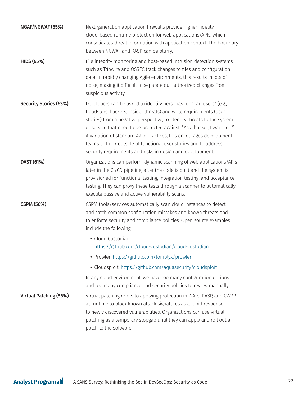| NGAF/NGWAF (65%)              | Next-generation application firewalls provide higher-fidelity,<br>cloud-based runtime protection for web applications/APIs, which<br>consolidates threat information with application context. The boundary<br>between NGWAF and RASP can be blurry.                                                                                                                                                                                                                                                     |
|-------------------------------|----------------------------------------------------------------------------------------------------------------------------------------------------------------------------------------------------------------------------------------------------------------------------------------------------------------------------------------------------------------------------------------------------------------------------------------------------------------------------------------------------------|
| <b>HIDS (65%)</b>             | File integrity monitoring and host-based intrusion detection systems<br>such as Tripwire and OSSEC track changes to files and configuration<br>data. In rapidly changing Agile environments, this results in lots of<br>noise, making it difficult to separate out authorized changes from<br>suspicious activity.                                                                                                                                                                                       |
| <b>Security Stories (63%)</b> | Developers can be asked to identify personas for "bad users" (e.g.,<br>fraudsters, hackers, insider threats) and write requirements (user<br>stories) from a negative perspective, to identify threats to the system<br>or service that need to be protected against. "As a hacker, I want to"<br>A variation of standard Agile practices, this encourages development<br>teams to think outside of functional user stories and to address<br>security requirements and risks in design and development. |
| DAST (61%)                    | Organizations can perform dynamic scanning of web applications/APIs<br>later in the CI/CD pipeline, after the code is built and the system is<br>provisioned for functional testing, integration testing, and acceptance<br>testing. They can proxy these tests through a scanner to automatically<br>execute passive and active vulnerability scans.                                                                                                                                                    |
| <b>CSPM (56%)</b>             | CSPM tools/services automatically scan cloud instances to detect<br>and catch common configuration mistakes and known threats and<br>to enforce security and compliance policies. Open source examples<br>include the following:<br>· Cloud Custodian:<br>https://github.com/cloud-custodian/cloud-custodian                                                                                                                                                                                             |
|                               | • Prowler: https://github.com/toniblyx/prowler                                                                                                                                                                                                                                                                                                                                                                                                                                                           |
|                               | • Cloudsploit: https://github.com/aquasecurity/cloudsploit                                                                                                                                                                                                                                                                                                                                                                                                                                               |
|                               | In any cloud environment, we have too many configuration options<br>and too many compliance and security policies to review manually.                                                                                                                                                                                                                                                                                                                                                                    |
| <b>Virtual Patching (56%)</b> | Virtual patching refers to applying protection in WAFs, RASP, and CWPP<br>at runtime to block known attack signatures as a rapid response<br>to newly discovered vulnerabilities. Organizations can use virtual<br>patching as a temporary stopgap until they can apply and roll out a<br>patch to the software.                                                                                                                                                                                         |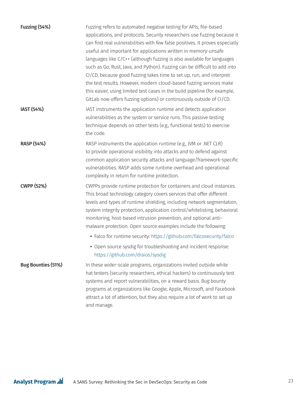| Fuzzing (54%)             | Fuzzing refers to automated negative testing for APIs, file-based<br>applications, and protocols. Security researchers use fuzzing because it<br>can find real vulnerabilities with few false positives. It proves especially<br>useful and important for applications written in memory-unsafe<br>languages like C/C++ (although fuzzing is also available for languages<br>such as Go, Rust, Java, and Python). Fuzzing can be difficult to add into<br>CI/CD, because good fuzzing takes time to set up, run, and interpret<br>the test results. However, modern cloud-based fuzzing services make<br>this easier, using limited test cases in the build pipeline (for example,<br>GitLab now offers fuzzing options) or continuously outside of CI/CD. |
|---------------------------|------------------------------------------------------------------------------------------------------------------------------------------------------------------------------------------------------------------------------------------------------------------------------------------------------------------------------------------------------------------------------------------------------------------------------------------------------------------------------------------------------------------------------------------------------------------------------------------------------------------------------------------------------------------------------------------------------------------------------------------------------------|
| <b>IAST (54%)</b>         | IAST instruments the application runtime and detects application<br>vulnerabilities as the system or service runs. This passive testing<br>technique depends on other tests (e.g., functional tests) to exercise<br>the code.                                                                                                                                                                                                                                                                                                                                                                                                                                                                                                                              |
| <b>RASP (54%)</b>         | RASP instruments the application runtime (e.g., JVM or .NET CLR)<br>to provide operational visibility into attacks and to defend against<br>common application security attacks and language/framework-specific<br>vulnerabilities. RASP adds some runtime overhead and operational<br>complexity in return for runtime protection.                                                                                                                                                                                                                                                                                                                                                                                                                        |
| <b>CWPP (52%)</b>         | CWPPs provide runtime protection for containers and cloud instances.<br>This broad technology category covers services that offer different<br>levels and types of runtime shielding, including network segmentation,<br>system integrity protection, application control/whitelisting, behavioral<br>monitoring, host-based intrusion prevention, and optional anti-<br>malware protection. Open source examples include the following:<br>• Falco for runtime security: https://github.com/falcosecurity/falco                                                                                                                                                                                                                                           |
|                           | • Open source sysdig for troubleshooting and incident response:<br>https://github.com/draios/sysdig                                                                                                                                                                                                                                                                                                                                                                                                                                                                                                                                                                                                                                                        |
| <b>Bug Bounties (51%)</b> | In these wider-scale programs, organizations invited outside white<br>hat testers (security researchers, ethical hackers) to continuously test<br>systems and report vulnerabilities, on a reward basis. Bug bounty<br>programs at organizations like Google, Apple, Microsoft, and Facebook<br>attract a lot of attention, but they also require a lot of work to set up<br>and manage.                                                                                                                                                                                                                                                                                                                                                                   |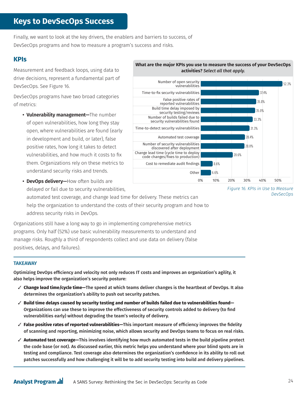# **Keys to DevSecOps Success**

Finally, we want to look at the key drivers, the enablers and barriers to success, of DevSecOps programs and how to measure a program's success and risks.

#### **KPIs**

Measurement and feedback loops, using data to drive decisions, represent a fundamental part of DevSecOps. See Figure 16.

DevSecOps programs have two broad categories of metrics:

**• Vulnerability management—**The number of open vulnerabilities, how long they stay open, where vulnerabilities are found (early in development and build, or later), false positive rates, how long it takes to detect vulnerabilities, and how much it costs to fix them. Organizations rely on these metrics to understand security risks and trends.

**• DevOps delivery—**How often builds are delayed or fail due to security vulnerabilities,

automated test coverage, and change lead time for delivery. These metrics can help the organization to understand the costs of their security program and how to address security risks in DevOps.

Organizations still have a long way to go in implementing comprehensive metrics programs. Only half (52%) use basic vulnerability measurements to understand and manage risks. Roughly a third of respondents collect and use data on delivery (false positives, delays, and failures).

#### **TAKEAWAY**

Optimizing DevOps efficiency and velocity not only reduces IT costs and improves an organization's agility, it also helps improve the organization's security posture:

- 3 **Change lead time/cycle time—**The speed at which teams deliver changes is the heartbeat of DevOps. It also determines the organization's ability to push out security patches.
- 3 **Build time delays caused by security testing and number of builds failed due to vulnerabilities found—** Organizations can use these to improve the effectiveness of security controls added to delivery (to find vulnerabilities early) without degrading the team's velocity of delivery.
- 3 **False positive rates of reported vulnerabilities—**This important measure of efficiency improves the fidelity of scanning and reporting, minimizing noise, which allows security and DevOps teams to focus on real risks.
- 3 **Automated test coverage—**This involves identifying how much automated tests in the build pipeline protect the code base (or not). As discussed earlier, this metric helps you understand where your blind spots are in testing and compliance. Test coverage also determines the organization's confidence in its ability to roll out patches successfully and how challenging it will be to add security testing into build and delivery pipelines.





*Figure 16. KPIs in Use to Measure DevSecOps*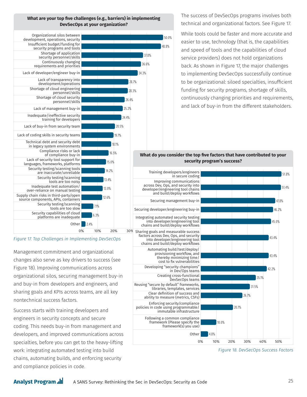The success of DevSecOps programs involves both technical and organizational factors. See Figure 17.

While tools could be faster and more accurate and easier to use, technology (that is, the capabilities and speed of tools and the capabilities of cloud service providers) does not hold organizations back. As shown in Figure 17, the major challenges to implementing DevSecOps successfully continue to be organizational: siloed specialties, insufficient funding for security programs, shortage of skills, continuously changing priorities and requirements, and lack of buy-in from the different stakeholders.

#### **What do you consider the top five factors that have contributed to your security program's success?**

48.8%

50.0%











Management commitment and organizational changes also serve as key drivers to success (see Figure 18). Improving communications across organizational silos, securing management buy-in and buy-in from developers and engineers, and sharing goals and KPIs across teams, are all key nontechnical success factors.

Success starts with training developers and engineers in security concepts and secure coding. This needs buy-in from management and developers, and improved communications across specialties, before you can get to the heavy-lifting work: integrating automated testing into build chains, automating builds, and enforcing security and compliance policies in code.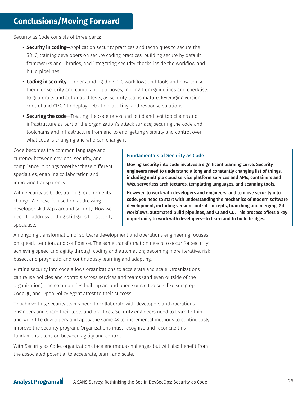Security as Code consists of three parts:

- **Security in coding—**Application security practices and techniques to secure the SDLC, training developers on secure coding practices, building secure by default frameworks and libraries, and integrating security checks inside the workflow and build pipelines
- **Coding in security—**Understanding the SDLC workflows and tools and how to use them for security and compliance purposes, moving from guidelines and checklists to guardrails and automated tests; as security teams mature, leveraging version control and CI/CD to deploy detection, alerting, and response solutions
- **Securing the code—**Treating the code repos and build and test toolchains and infrastructure as part of the organization's attack surface; securing the code and toolchains and infrastructure from end to end; getting visibility and control over what code is changing and who can change it

Code becomes the common language and currency between dev, ops, security, and compliance. It brings together these different specialties, enabling collaboration and improving transparency.

With Security as Code, training requirements change. We have focused on addressing developer skill gaps around security. Now we need to address coding skill gaps for security specialists.

#### Fundamentals of Security as Code

Moving security into code involves a significant learning curve. Security engineers need to understand a long and constantly changing list of things, including multiple cloud service platform services and APIs, containers and VMs, serverless architectures, templating languages, and scanning tools.

However, to work with developers and engineers, and to move security into code, you need to start with understanding the mechanics of modern software development, including version control concepts, branching and merging, Git workflows, automated build pipelines, and CI and CD. This process offers a key opportunity to work with developers—to learn and to build bridges.

An ongoing transformation of software development and operations engineering focuses on speed, iteration, and confidence. The same transformation needs to occur for security: achieving speed and agility through coding and automation; becoming more iterative, risk based, and pragmatic; and continuously learning and adapting.

Putting security into code allows organizations to accelerate and scale. Organizations can reuse policies and controls across services and teams (and even outside of the organization). The communities built up around open source toolsets like semgrep, CodeQL, and Open Policy Agent attest to their success.

To achieve this, security teams need to collaborate with developers and operations engineers and share their tools and practices. Security engineers need to learn to think and work like developers and apply the same Agile, incremental methods to continuously improve the security program. Organizations must recognize and reconcile this fundamental tension between agility and control.

With Security as Code, organizations face enormous challenges but will also benefit from the associated potential to accelerate, learn, and scale.